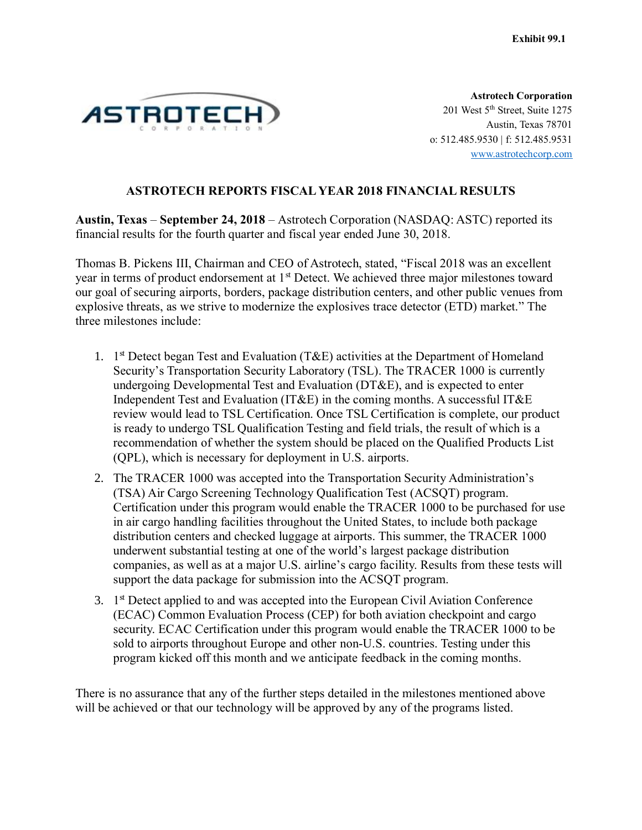

**Astrotech Corporation** 201 West 5<sup>th</sup> Street, Suite 1275 Austin, Texas 78701 o: 512.485.9530 | f: 512.485.9531 www.astrotechcorp.com

### **ASTROTECH REPORTS FISCAL YEAR 2018 FINANCIAL RESULTS**

**Austin, Texas** – **September 24, 2018** – Astrotech Corporation (NASDAQ: ASTC) reported its financial results for the fourth quarter and fiscal year ended June 30, 2018.

Thomas B. Pickens III, Chairman and CEO of Astrotech, stated, "Fiscal 2018 was an excellent year in terms of product endorsement at 1<sup>st</sup> Detect. We achieved three major milestones toward our goal of securing airports, borders, package distribution centers, and other public venues from explosive threats, as we strive to modernize the explosives trace detector (ETD) market." The three milestones include:

- 1. 1<sup>st</sup> Detect began Test and Evaluation (T&E) activities at the Department of Homeland Security's Transportation Security Laboratory (TSL). The TRACER 1000 is currently undergoing Developmental Test and Evaluation (DT&E), and is expected to enter Independent Test and Evaluation (IT&E) in the coming months. A successful IT&E review would lead to TSL Certification. Once TSL Certification is complete, our product is ready to undergo TSL Qualification Testing and field trials, the result of which is a recommendation of whether the system should be placed on the Qualified Products List (QPL), which is necessary for deployment in U.S. airports.
- 2. The TRACER 1000 was accepted into the Transportation Security Administration's (TSA) Air Cargo Screening Technology Qualification Test (ACSQT) program. Certification under this program would enable the TRACER 1000 to be purchased for use in air cargo handling facilities throughout the United States, to include both package distribution centers and checked luggage at airports. This summer, the TRACER 1000 underwent substantial testing at one of the world's largest package distribution companies, as well as at a major U.S. airline's cargo facility. Results from these tests will support the data package for submission into the ACSQT program.
- 3. 1<sup>st</sup> Detect applied to and was accepted into the European Civil Aviation Conference (ECAC) Common Evaluation Process (CEP) for both aviation checkpoint and cargo security. ECAC Certification under this program would enable the TRACER 1000 to be sold to airports throughout Europe and other non-U.S. countries. Testing under this program kicked off this month and we anticipate feedback in the coming months.

There is no assurance that any of the further steps detailed in the milestones mentioned above will be achieved or that our technology will be approved by any of the programs listed.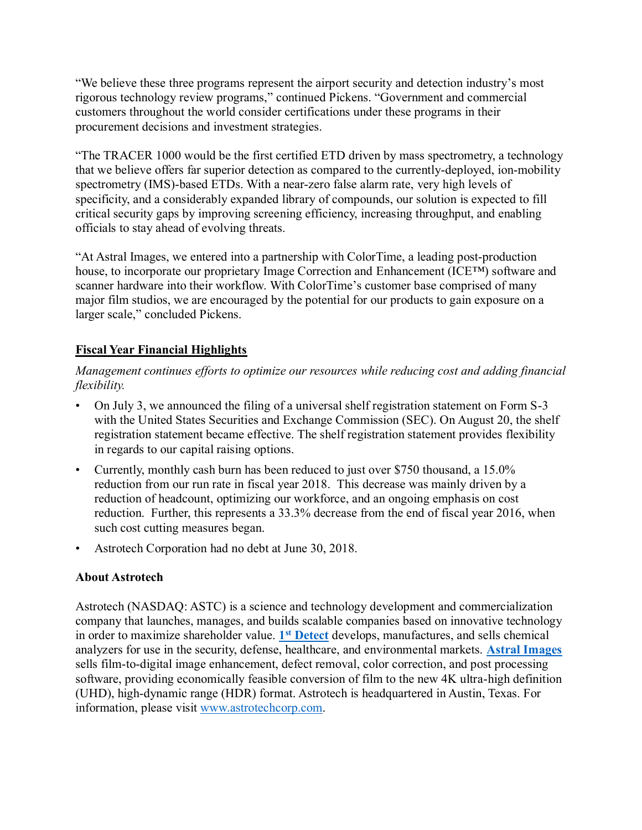"We believe these three programs represent the airport security and detection industry's most rigorous technology review programs," continued Pickens. "Government and commercial customers throughout the world consider certifications under these programs in their procurement decisions and investment strategies.

"The TRACER 1000 would be the first certified ETD driven by mass spectrometry, a technology that we believe offers far superior detection as compared to the currently-deployed, ion-mobility spectrometry (IMS)-based ETDs. With a near-zero false alarm rate, very high levels of specificity, and a considerably expanded library of compounds, our solution is expected to fill critical security gaps by improving screening efficiency, increasing throughput, and enabling officials to stay ahead of evolving threats.

"At Astral Images, we entered into a partnership with ColorTime, a leading post-production house, to incorporate our proprietary Image Correction and Enhancement (ICE™) software and scanner hardware into their workflow. With ColorTime's customer base comprised of many major film studios, we are encouraged by the potential for our products to gain exposure on a larger scale," concluded Pickens.

# **Fiscal Year Financial Highlights**

*Management continues efforts to optimize our resources while reducing cost and adding financial flexibility.*

- On July 3, we announced the filing of a universal shelf registration statement on Form S-3 with the United States Securities and Exchange Commission (SEC). On August 20, the shelf registration statement became effective. The shelf registration statement provides flexibility in regards to our capital raising options.
- Currently, monthly cash burn has been reduced to just over \$750 thousand, a 15.0% reduction from our run rate in fiscal year 2018. This decrease was mainly driven by a reduction of headcount, optimizing our workforce, and an ongoing emphasis on cost reduction. Further, this represents a 33.3% decrease from the end of fiscal year 2016, when such cost cutting measures began.
- Astrotech Corporation had no debt at June 30, 2018.

## **About Astrotech**

Astrotech (NASDAQ: ASTC) is a science and technology development and commercialization company that launches, manages, and builds scalable companies based on innovative technology in order to maximize shareholder value. **1 st [Detect](https://www.1stdetect.com/?utm_campaign=2018-pr&utm_source=astc&utm_medium=businesswire&utm_content=20180924-10k-boiler-1d)** develops, manufactures, and sells chemical analyzers for use in the security, defense, healthcare, and environmental markets. **[Astral Images](http://www.astral-images.com/?utm_campaign=2018-pr&utm_source=astc&utm_medium=businesswire&utm_content=20180924-10k-boiler-astral)** sells film-to-digital image enhancement, defect removal, color correction, and post processing software, providing economically feasible conversion of film to the new 4K ultra-high definition (UHD), high-dynamic range (HDR) format. Astrotech is headquartered in Austin, Texas. For information, please visit [www.astrotechcorp.com.](http://www.astrotechcorp.com/?utm_campaign=2018-pr&utm_source=astc&utm_medium=businesswire&utm_content=20180924-10k-boiler-astc)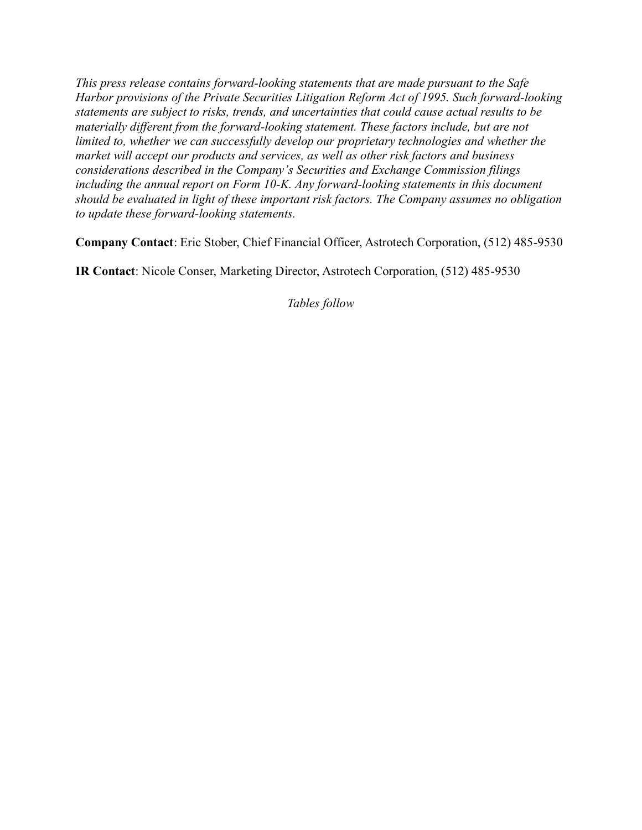*This press release contains forward-looking statements that are made pursuant to the Safe Harbor provisions of the Private Securities Litigation Reform Act of 1995. Such forward-looking statements are subject to risks, trends, and uncertainties that could cause actual results to be materially different from the forward-looking statement. These factors include, but are not limited to, whether we can successfully develop our proprietary technologies and whether the market will accept our products and services, as well as other risk factors and business considerations described in the Company's Securities and Exchange Commission filings including the annual report on Form 10-K. Any forward-looking statements in this document should be evaluated in light of these important risk factors. The Company assumes no obligation to update these forward-looking statements.*

**Company Contact**: Eric Stober, Chief Financial Officer, Astrotech Corporation, (512) 485-9530

**IR Contact**: Nicole Conser, Marketing Director, Astrotech Corporation, (512) 485-9530

*Tables follow*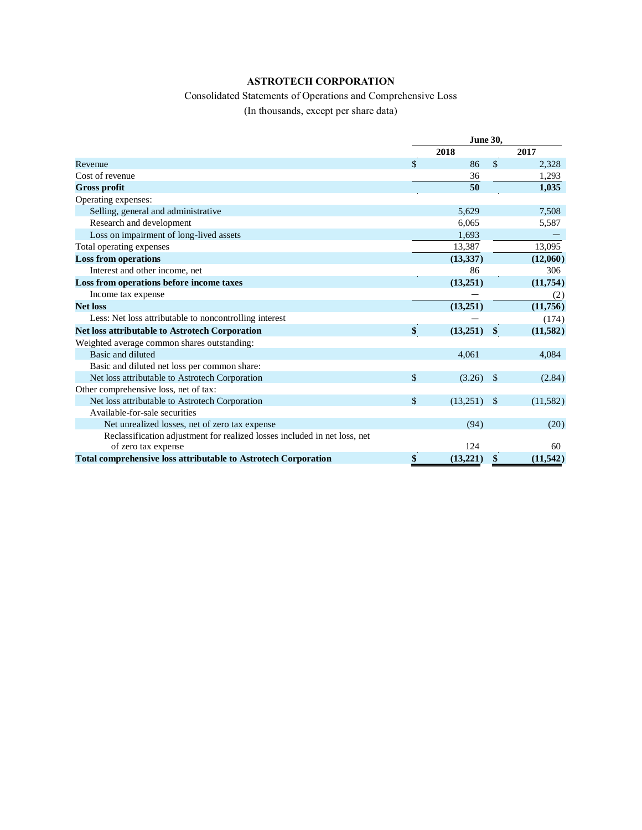#### **ASTROTECH CORPORATION**

# Consolidated Statements of Operations and Comprehensive Loss

(In thousands, except per share data)

|                                                                           |               | <b>June 30,</b> |               |           |
|---------------------------------------------------------------------------|---------------|-----------------|---------------|-----------|
|                                                                           |               | 2018            |               | 2017      |
| Revenue                                                                   | $\mathcal{S}$ | 86              | \$            | 2,328     |
| Cost of revenue                                                           |               | 36              |               | 1,293     |
| <b>Gross profit</b>                                                       |               | 50              |               | 1,035     |
| Operating expenses:                                                       |               |                 |               |           |
| Selling, general and administrative                                       |               | 5,629           |               | 7,508     |
| Research and development                                                  |               | 6,065           |               | 5,587     |
| Loss on impairment of long-lived assets                                   |               | 1,693           |               |           |
| Total operating expenses                                                  |               | 13,387          |               | 13,095    |
| <b>Loss from operations</b>                                               |               | (13, 337)       |               | (12,060)  |
| Interest and other income, net                                            |               | 86              |               | 306       |
| Loss from operations before income taxes                                  |               | (13,251)        |               | (11,754)  |
| Income tax expense                                                        |               |                 |               | (2)       |
| <b>Net loss</b>                                                           |               | (13,251)        |               | (11,756)  |
| Less: Net loss attributable to noncontrolling interest                    |               |                 |               | (174)     |
| <b>Net loss attributable to Astrotech Corporation</b>                     | \$            | (13,251)        | \$            | (11, 582) |
| Weighted average common shares outstanding:                               |               |                 |               |           |
| Basic and diluted                                                         |               | 4,061           |               | 4,084     |
| Basic and diluted net loss per common share:                              |               |                 |               |           |
| Net loss attributable to Astrotech Corporation                            | $\mathcal{S}$ | (3.26)          | -\$           | (2.84)    |
| Other comprehensive loss, net of tax:                                     |               |                 |               |           |
| Net loss attributable to Astrotech Corporation                            | $\mathcal{S}$ | (13,251)        | $\mathcal{S}$ | (11,582)  |
| Available-for-sale securities                                             |               |                 |               |           |
| Net unrealized losses, net of zero tax expense                            |               | (94)            |               | (20)      |
| Reclassification adjustment for realized losses included in net loss, net |               |                 |               |           |
| of zero tax expense                                                       |               | 124             |               | 60        |
| <b>Total comprehensive loss attributable to Astrotech Corporation</b>     | \$            | (13,221)        | \$            | (11, 542) |